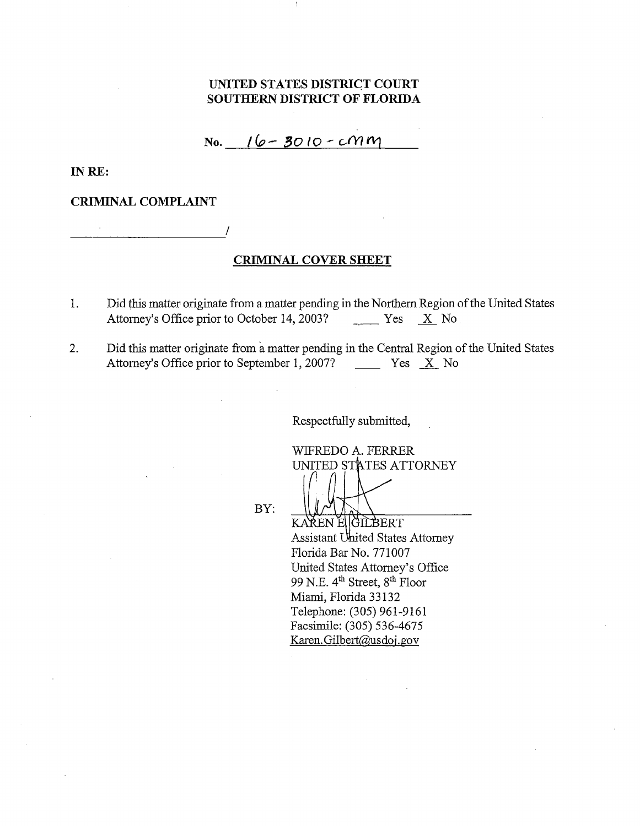### **UNITED STATES DISTRICT COURT SOUTHERN DISTRICT OF FLORIDA**

### $N_0.$   $16 - 3010 - cM$

**INRE:** 

#### **CRIMINAL COMPLAINT**

---------- I

#### **CRIMINAL COVERSHEET**

- 1. Did this matter originate from a matter pending in the Northern Region of the United States Attorney's Office prior to October 14, 2003? Yes X No
- 2. Did this matter originate from a matter pending in the Central Region of the United States<br>Attorney's Office prior to September 1, 2007? Yes X No Attorney's Office prior to September 1, 2007?

Respectfully submitted,

WIFREDO A. FERRER UNITED STATES ATTORNEY

BY:

KAKEN E GILBERT Assistant United States Attorney Florida Bar No. 771007 United States Attorney's Office 99 N.E. 4<sup>th</sup> Street, 8<sup>th</sup> Floor Miami, Florida 33132 Telephone: (305) 961-9161 Facsimile: (305) 536-4675 Karen. Gilbert@usdoj.gov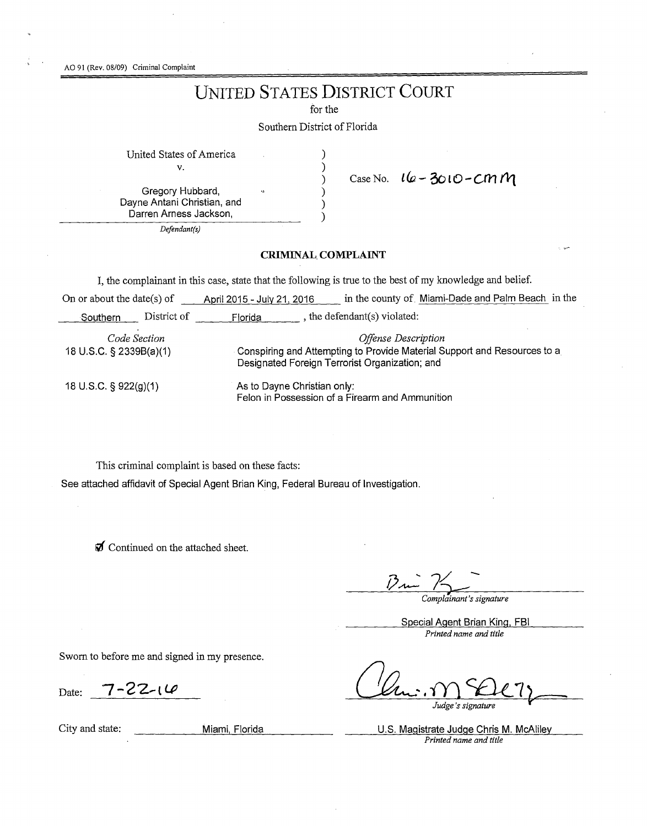AO 91 (Rev. 08/09) Criminal Complaint

# UNITED STATES DISTRICT COURT

for the

Southern District of Florida

United States of America )

v. )

Gregory Hubbard, ) Dayne Antani Christian, and Darren Arness Jackson,

*Defendant(s)* 

## ) Case No. *lfu-* **3ot0-C,rl1 f11**

#### **CRIMINAL. COMPLAINT**

) )

I, the complainant in this case, state that the following is true to the best of my knowledge and belief.

| On or about the date(s) of              |             | April 2015 - July 21, 2016                                                                                                                        | in the county of Miami-Dade and Palm Beach in the |  |
|-----------------------------------------|-------------|---------------------------------------------------------------------------------------------------------------------------------------------------|---------------------------------------------------|--|
| Southern                                | District of | Florida                                                                                                                                           | the defendant(s) violated:                        |  |
| Code Section<br>18 U.S.C. § 2339B(a)(1) |             | Offense Description<br>Conspiring and Attempting to Provide Material Support and Resources to a<br>Designated Foreign Terrorist Organization; and |                                                   |  |
| 18 U.S.C. § 922(g)(1)                   |             | As to Dayne Christian only:<br>Felon in Possession of a Firearm and Ammunition                                                                    |                                                   |  |

This criminal complaint is based on these facts:

See attached affidavit of Special Agent Brian King, Federal Bureau of Investigation.

 $\mathcal J$  Continued on the attached sheet.

*Complainant's signature* 

Special Agent Brian King, FBI *Printed name and title* 

Sworn to before me and signed in my presence.

Date: 7-22-14

Judge's signature

City and state: Miami Florida U.S. Magistrate Judge Chris **M.** McAliley *Printed name and title*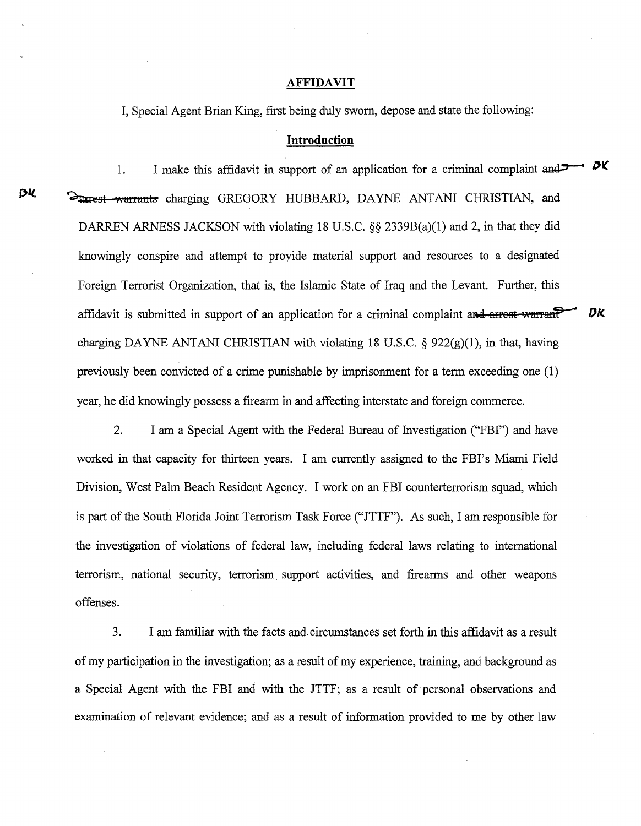#### **AFFIDAVIT**

I, Special Agent Brian King, first being duly sworn, depose and state the following:

#### **Introduction**

1. I make this affidavit in support of an application for a criminal complaint and  $\rightarrow$   $\alpha$ *pl*  $\frac{1}{2}$   $\frac{1}{2}$   $\frac{1}{2}$   $\frac{1}{2}$   $\frac{1}{2}$   $\frac{1}{2}$   $\frac{1}{2}$   $\frac{1}{2}$  GREGORY HUBBARD, DAYNE ANTANI CHRISTIAN, and DARREN ARNESS JACKSON with violating 18 U.S.C. §§ 2339B(a)(1) and 2, in that they did knowingly conspire and attempt to proyide material support and resources to a designated Foreign Terrorist Organization, that is, the Islamic State of Iraq and the Levant. Further, this affidavit is submitted in support of an application for a criminal complaint and arrest warrant **DK** charging DAYNE ANTANI CHRISTIAN with violating 18 U.S.C.  $\S$  922(g)(1), in that, having previously been convicted of a crime punishable by imprisonment for a term exceeding one (1) year, he did knowingly possess a firearm in and affecting interstate and foreign commerce.

2. I am a Special Agent with the Federal Bureau of Investigation ("FBI") and have worked in that capacity for thirteen years. I am currently assigned to the FBI's Miami Field Division, West Palm Beach Resident Agency. I work on an FBI counterterrorism squad, which is part of the South Florida Joint Terrorism Task Force ("JTTF"). As such, I am responsible for the investigation of violations of federal law, including federal laws relating to international terrorism, national security, terrorism support activities, and firearms and other weapons offenses.

3. I am familiar with the facts and. circumstances set forth in this affidavit as a result of my participation in the investigation; as a result of my experience, training, and background as a Special Agent with the FBI and with the JTTF; as a result of personal observations and examination of relevant evidence; and as a result of information provided to me by other law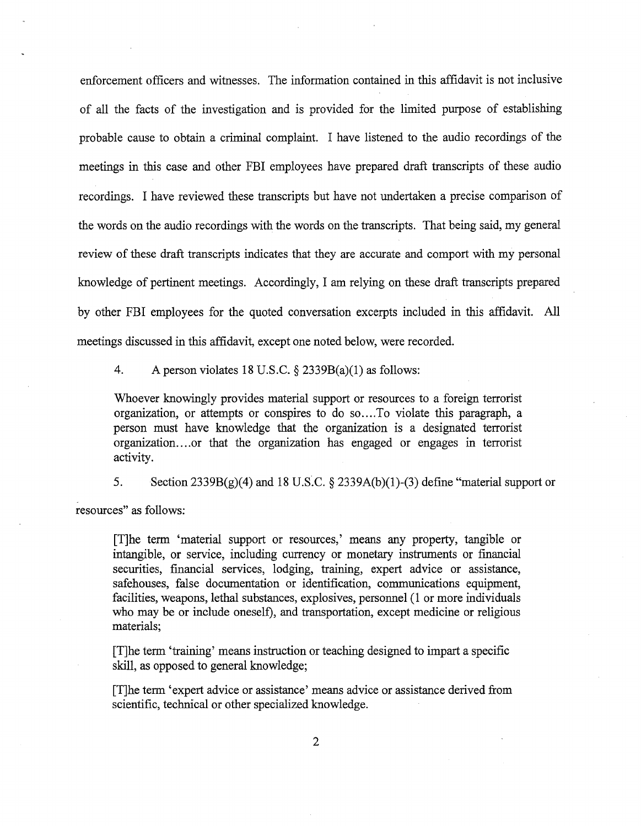enforcement officers and witnesses. The information contained in this affidavit is not inclusive of all the facts of the investigation and is provided for the limited purpose of establishing probable cause to obtain a criminal complaint. I have listened to the audio recordings of the meetings in this case and other FBI employees have prepared draft transcripts of these audio recordings. I have reviewed these transcripts but have not undertaken a precise comparison of the words on the audio recordings with the words on the transcripts. That being said, my general review of these draft transcripts indicates that they are accurate and comport with my personal knowledge of pertinent meetings. Accordingly, I am relying on these draft transcripts prepared by other FBI employees for the quoted conversation excerpts included in this affidavit. All meetings discussed in this affidavit, except one noted below, were recorded.

4. A person violates 18 U.S.C.  $\S$  2339B(a)(1) as follows:

Whoever knowingly provides material support or resources to a foreign terrorist organization, or attempts or conspires to do so.... To violate this paragraph, a person must have knowledge that the organization is a designated terrorist organization....or that the organization has engaged or engages in terrorist activity.

5. Section  $2339B(g)(4)$  and 18 U.S.C. § 2339A(b)(1)-(3) define "material support or resources" as follows:

[T]he term 'material support or resources,' means any property, tangible or intangible, or service, including currency or monetary instruments or financial securities, financial services, lodging, training, expert advice or assistance, safehouses, false documentation or identification, communications equipment, facilities, weapons, lethal substances, explosives, personnel (1 or more individuals who may be or include oneself), and transportation, except medicine or religious materials;

[T]he term 'training' means instruction or teaching designed to impart a specific skill, as opposed to general knowledge;

[T]he term 'expert advice or assistance' means advice or assistance derived from scientific, technical or other specialized knowledge.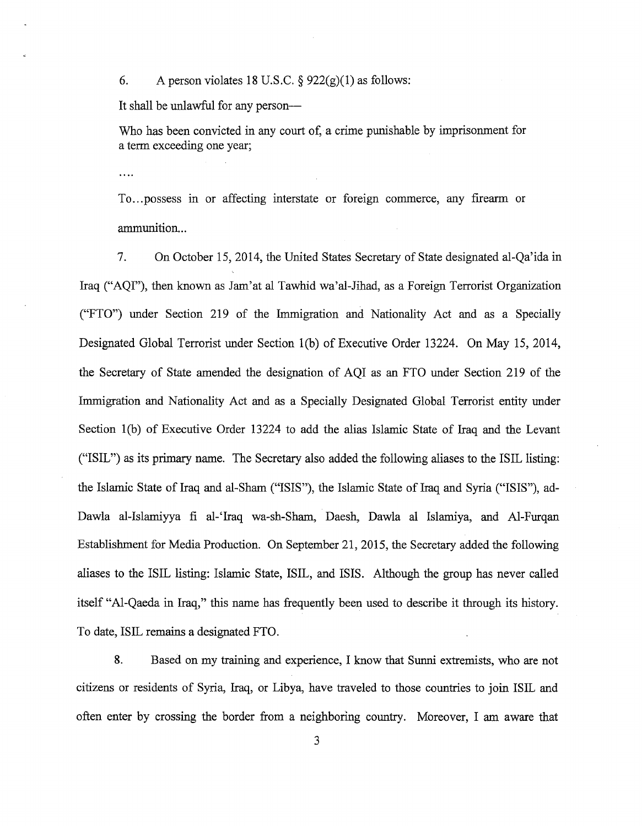6. A person violates 18 U.S.C.  $\S$  922(g)(1) as follows:

It shall be unlawful for any person-

Who has been convicted in any court of, a crime punishable by imprisonment for a term exceeding one year;

 $\ddotsc$ 

To...possess in or affecting interstate or foreign commerce, any firearm or ammunition...

7. On October 15, 2014, the United States Secretary of State designated al-Qa'ida in Iraq ("AQI"), then known as Jam'at al Tawhid wa'al-Jihad, as a Foreign Terrorist Organization ("FTO") under Section 219 of the Immigration and Nationality Act and as a Specially Designated Global Terrorist under Section l(b) of Executive Order 13224. On May 15, 2014, the Secretary of State amended the designation of AQI as an FTO under Section 219 of the Immigration and Nationality Act and as a Specially Designated Global Terrorist entity under Section l(b) of Executive Order 13224 to add the alias Islamic State of Iraq and the Levant ("ISIL") as its primary name. The Secretary also added the following aliases to the ISIL listing: the Islamic State of Iraq and al-Sham ("ISIS"), the Islamic State of Iraq and Syria ("ISIS"), ad-Dawla al-Islamiyya fi al-'Iraq wa-sh-Sham, Daesh, Dawla al Islamiya, and Al-Furqan Establishment for Media Production. On September 21, 2015, the Secretary added the following aliases to the ISIL listing: Islamic State, ISIL, and ISIS. Although the group has never called itself "Al-Qaeda in Iraq," this name has frequently been used to describe it through its history. To date, ISIL remains a designated FTO.

8. Based on my training and experience, I know that Sunni extremists, who are not citizens or residents of Syria, Iraq, or Libya, have traveled to those countries to join ISIL and often enter by crossing the border from a neighboring country. Moreover, I am aware that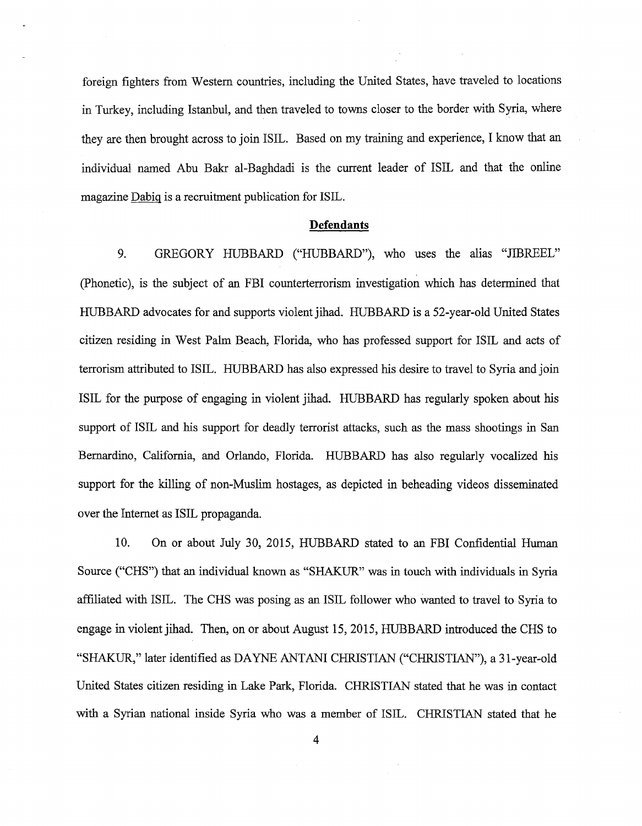foreign fighters from Western countries, including the United States, have traveled to locations in Turkey, including Istanbul, and then traveled to towns closer to the border with Syria, where they are then brought across to join ISIL. Based on my training and experience, I know that an individual named Abu Bakr al-Baghdadi is the current leader of ISIL and that the online magazine Dabig is a recruitment publication for ISIL.

#### **Defendants**

9. GREGORY HUBBARD ("HUBBARD"), who uses the alias "JIBREEL" (Phonetic), is the subject of an FBI counterterrorism investigation which has determined that HUBBARD advocates for and supports violent jihad. HUBBARD is a 52-year-old United States citizen residing in West Palm Beach, Florida, who has professed support for ISIL and acts of terrorism attributed to ISIL. HUBBARD has also expressed his desire to travel to Syria and join ISIL for the purpose of engaging in violent jihad. HUBBARD has regularly spoken about his support of ISIL and his support for deadly terrorist attacks, such as the mass shootings in San Bernardino, California, and Orlando, Florida. HUBBARD has also regularly vocalized his support for the killing of non-Muslim hostages, as depicted in beheading videos disseminated over the Internet as ISIL propaganda.

10. On or about July 30, 2015, HUBBARD stated to an FBI Confidential Human Source ("CHS") that an individual known as "SHAKUR" was in touch with individuals in Syria affiliated with ISIL. The CHS was posing as an ISIL follower who wanted to travel to Syria to engage in violent jihad. Then, on or about August 15, 2015, HUBBARD introduced the CHS to "SHAKUR," later identified as DAYNE ANTANI CHRISTIAN ("CHRISTIAN"), a 31-year-old United States citizen residing in Lake Park, Florida. CHRISTIAN stated that he was in contact with a Syrian national inside Syria who was a member of ISIL. CHRISTIAN stated that he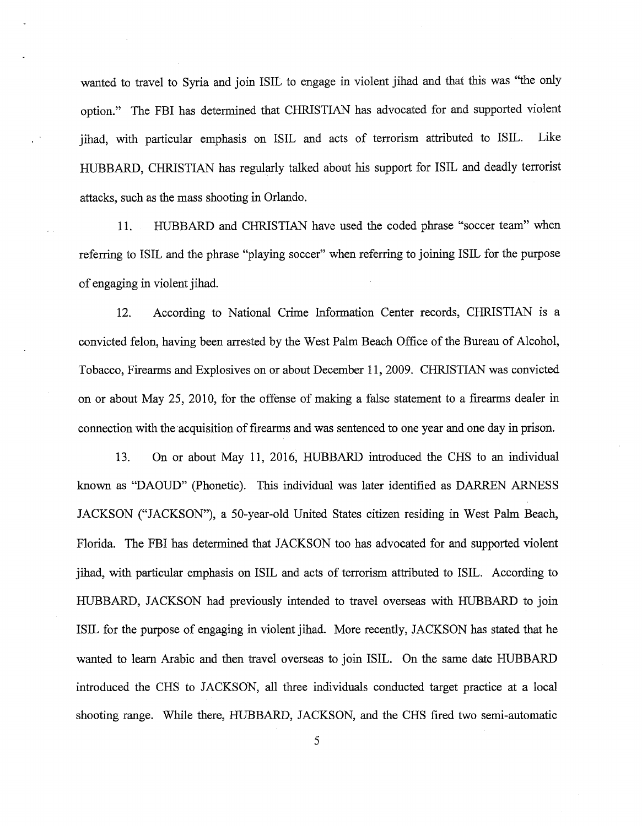wanted to travel to Syria and join ISIL to engage in violent jihad and that this was "the only option." The FBI has determined that CHRJSTIAN has advocated for and supported violent jihad, with particular emphasis on ISIL and acts of terrorism attributed to ISIL. Like HUBBARD, CHRISTIAN has regularly talked about his support for ISIL and deadly terrorist attacks, such as the mass shooting in Orlando.

11. HUBBARD and CHRJSTIAN have used the coded phrase "soccer team" when referring to ISIL and the phrase "playing soccer" when referring to joining ISIL for the purpose of engaging in violent jihad.

12. According to National Crime Information Center records, CHRJSTIAN is a convicted felon, having been arrested by the West Palm Beach Office of the Bureau of Alcohol, Tobacco, Firearms and Explosives on or about December 11, 2009. CHRJSTIAN was convicted on or about May 25, 2010, for the offense of making a false statement to a firearms dealer in connection with the acquisition of firearms and was sentenced to one year and one day in prison.

13. On or about May 11, 2016, HUBBARD introduced the CHS to an individual known as "DAOUD" (Phonetic). This individual was later identified as DARREN ARNESS JACKSON ("JACKSON"), a 50-year-old United States citizen residing in West Palm Beach, Florida. The FBI has determined that JACKSON too has advocated for and supported violent jihad, with particular emphasis on ISIL and acts of terrorism attributed to ISIL. According to HUBBARD, JACKSON had previously intended to travel overseas with HUBBARD to join ISIL for the purpose of engaging in violent jihad. More recently, JACKSON has stated that he wanted to learn Arabic and then travel overseas to join ISIL. On the same date HUBBARD introduced the CHS to JACKSON, all three individuals conducted target practice at a local shooting range. While there, HUBBARD, JACKSON, and the CHS fired two semi-automatic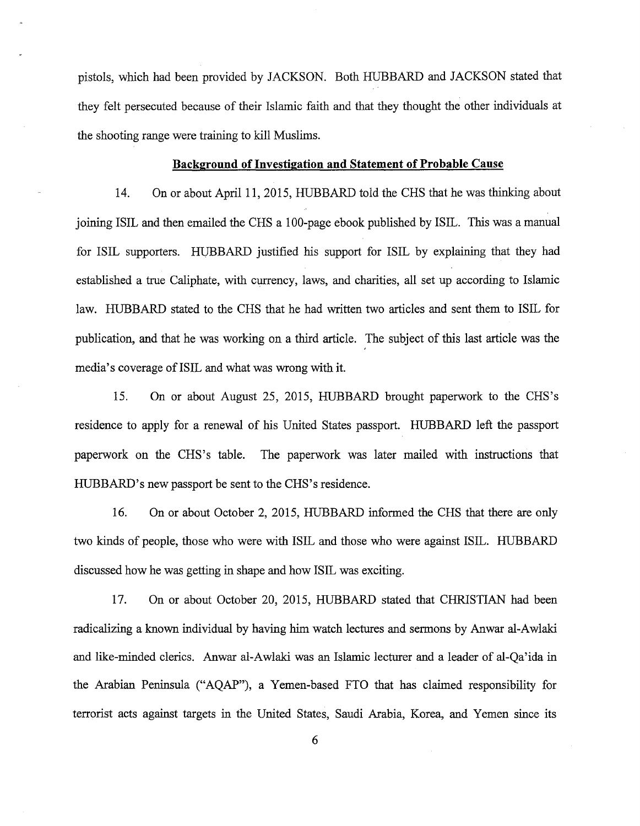pistols, which had been provided by JACKSON. Both HUBBARD and JACKSON stated that they felt persecuted because of their Islamic faith and that they thought the other individuals at the shooting range were training to kill Muslims.

#### **Background of Investigation and Statement of Probable Cause**

14. On or about April 11, 2015, HUBBARD told the CHS that he was thinking about joining ISIL and then emailed the CHS a 100-page ebook published by ISIL. This was a manual for ISIL supporters. HUBBARD justified his support for ISIL by explaining that they had established a true Caliphate, with currency, laws, and charities, all set up according to Islamic law. HUBBARD stated to the CHS that he had written two articles and sent them to ISIL for publication, and that he was working on a third article. The subject of this last article was the media's coverage of ISIL and what was wrong with it.

15. On or about August 25, 2015, HUBBARD brought paperwork to the CHS's residence to apply for a renewal of his United States passport. HUBBARD left the passport paperwork on the CHS's table. The paperwork was later mailed with instructions that HUBBARD's new passport be sent to the CHS's residence.

16. On or about October 2, 2015, HUBBARD informed the CHS that there are only two kinds of people, those who were with ISIL and those who were against ISIL. HUBBARD discussed how he was getting in shape and how ISIL was exciting.

17. On or about October 20, 2015, HUBBARD stated that CHRISTIAN had been radicalizing a known individual by having him watch lectures and sermons by Anwar al-Awlaki and like-minded clerics. Anwar al-Awlaki was an Islamic lecturer and a leader of al-Qa'ida in the Arabian Peninsula ("AQAP"), a Yemen-based FTO that has claimed responsibility for terrorist acts against targets in the United States, Saudi Arabia, Korea, and Yemen since its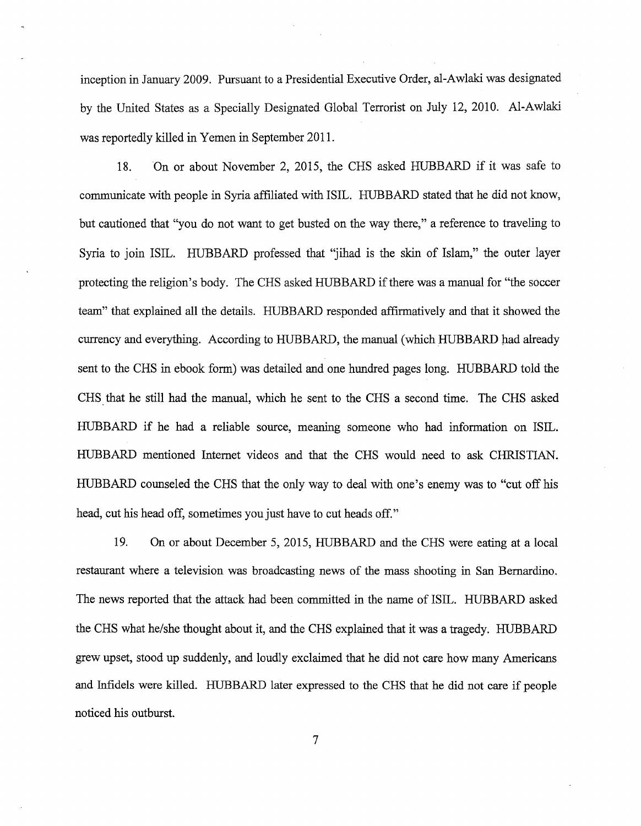inception in January 2009. Pursuant to a Presidential Executive Order, al-Awlaki was designated by the United States as a Specially Designated Global Terrorist on July 12, 2010. Al-Awlaki was reportedly killed in Yemen in September 2011.

18. On or about November 2, 2015, the CHS asked HUBBARD if it was safe to communicate with people in Syria affiliated with ISIL. HUBBARD stated that he did not know, but cautioned that "you do not want to get busted on the way there," a reference to traveling to Syria to join ISIL. HUBBARD professed that "jihad is the skin of Islam," the outer layer protecting the religion's body. The CHS asked HUBBARD if there was a manual for "the soccer team" that explained all the details. HUBBARD responded affirmatively and that it showed the currency and everything. According to HUBBARD, the manual (which HUBBARD had already sent to the CHS in ebook form) was detailed and one hundred pages long. HUBBARD told the CHS. that he still had the manual, which he sent to the CHS a second time. The CHS asked HUBBARD if he had a reliable source, meaning someone who had information on ISIL. HUBBARD mentioned Internet videos and that the CHS would need to ask CHRISTIAN. HUBBARD counseled the CHS that the only way to deal with one's enemy was to "cut off his head, cut his head off, sometimes you just have to cut heads off."

19. On or about December 5, 2015, HUBBARD and the CHS were eating at a local restaurant where a television was broadcasting news of the mass shooting in San Bernardino. The news reported that the attack had been committed in the name of ISIL. HUBBARD asked the CHS what he/she thought about it, and the CHS explained that it was a tragedy. HUBBARD grew upset, stood up suddenly, and loudly exclaimed that he did not care how many Americans and Infidels were killed. HUBBARD later expressed to the CHS that he did not care if people noticed his outburst.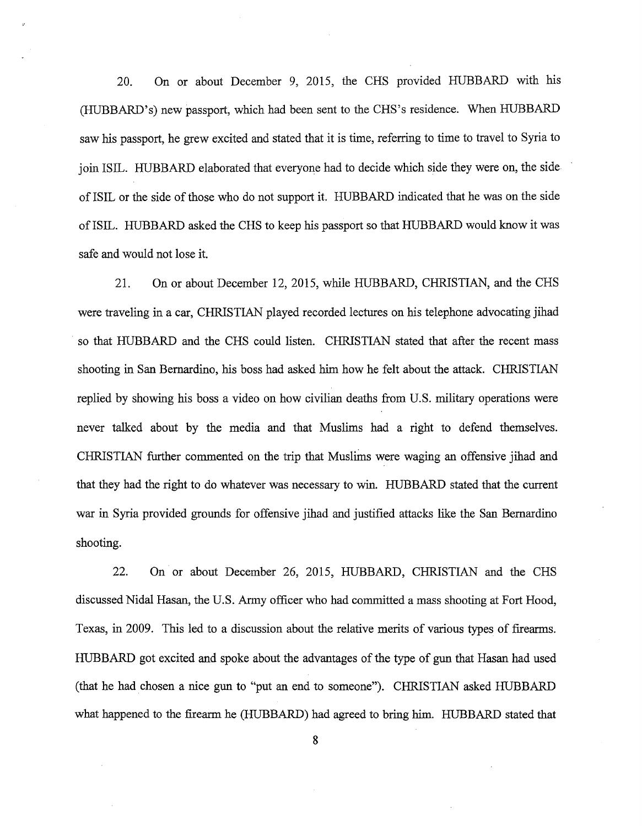20. On or about December 9, 2015, the CHS provided HUBBARD with his (HUBBARD's) new passport, which had been sent to the CHS's residence. When HUBBARD saw his passport, he grew excited and stated that it is time, referring to time to travel to Syria to join ISIL. HUBBARD elaborated that everyone had to decide which side they were on, the side of ISIL or the side of those who do not support it. HUBBARD indicated that he was on the side ofISIL. HUBBARD asked the CHS to keep his passport so that HUBBARD would know it was safe and would not lose it.

21. On or about December 12, 2015, while HUBBARD, CHRISTIAN, and the CHS were traveling in a car, CHRISTIAN played recorded lectures on his telephone advocating jihad so that HUBBARD and the CHS could listen. CHRISTIAN stated that after the recent mass shooting in San Bernardino, his boss had asked him how he felt about the attack. CHRISTIAN replied by showing his boss a video on how civilian deaths from U.S. military operations were never talked about by the media and that Muslims had a right to defend themselves. CHRISTIAN further commented on the trip that Muslims were waging an offensive jihad and that they had the right to do whatever was necessary to win. HUBBARD stated that the current war in Syria provided grounds for offensive jihad and justified attacks like the San Bernardino shooting.

22. On or about December 26, 2015, HUBBARD, CHRISTIAN and the CHS discussed Nidal Hasan, the U.S. Army officer who had committed a mass shooting at Fort Hood, Texas, in 2009. This led to a discussion about the relative merits of various types of firearms. HUBBARD got excited and spoke about the advantages of the type of gun that Hasan had used (that he had chosen a nice gun to "put an end to someone"). CHRISTIAN asked HUBBARD what happened to the firearm he (HUBBARD) had agreed to bring him. HUBBARD stated that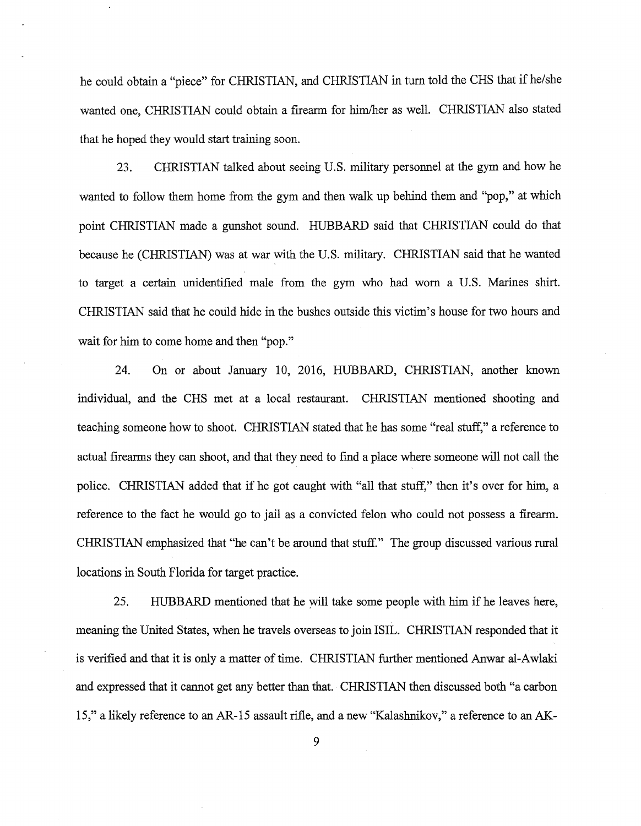he could obtain a "piece" for CHRISTIAN, and CHRISTIAN in turn told the CHS that if he/she wanted one, CHRISTIAN could obtain a firearm for him/her as well. CHRISTIAN also stated that he hoped they would start training soon.

23. CHRISTIAN talked about seeing U.S. military personnel at the gym and how he wanted to follow them home from the gym and then walk up behind them and "pop," at which point CHRISTIAN made a gunshot sound. HUBBARD said that CHRISTIAN could do that because he (CHRISTIAN) was at war with the U.S. military. CHRISTIAN said that he wanted to target a certain unidentified male from the gym who had worn a U.S. Marines shirt. CHRISTIAN said that he could hide in the bushes outside this victim's house for two hours and wait for him to come home and then "pop."

24. On or about January 10, 2016, HUBBARD, CHRISTIAN, another known individual, and the CHS met at a local restaurant. CHRISTIAN mentioned shooting and teaching someone how to shoot. CHRISTIAN stated that he has some "real stuff," a reference to actual firearms they can shoot, and that they need to find a place where someone will not call the police. CHRISTIAN added that if he got caught with "all that stuff," then it's over for him, a reference to the fact he would go to jail as a convicted felon who could not possess a firearm. CHRISTIAN emphasized that "he can't be around that stuff." The group discussed various rural locations in South Florida for target practice.

25. HUBBARD mentioned that he will take some people with him if he leaves here, meaning the United States, when he travels overseas to join ISIL. CHRISTIAN responded that it is verified and that it is only a matter of time. CHRISTIAN further mentioned Anwar al-Awlaki and expressed that it cannot get any better than that. CHRISTIAN then discussed both "a carbon 15," a likely reference to an AR-15 assault rifle, and a new "Kalashnikov," a reference to an AK-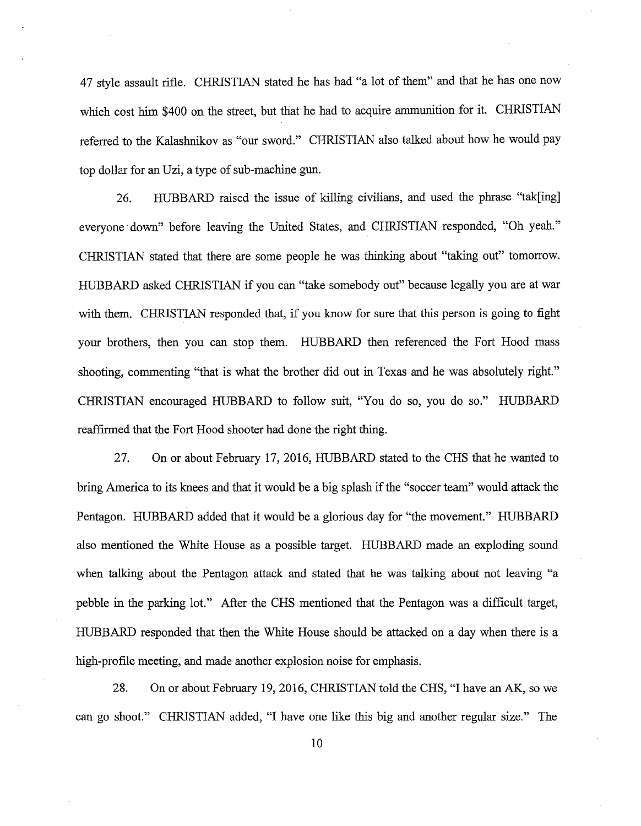47 style assault rifle. CHRISTIAN stated he has had "a lot of them" and that he has one now which cost him \$400 on the street, but that he had to acquire ammunition for it. CHRISTIAN referred *to* the Kalashnikov as "our sword." CHRISTIAN also talked about how he would pay top dollar for an Uzi, a type of sub-machine gun.

26. HUBBARD raised the issue of killing civilians, and used the phrase "tak[ing] everyone down" before leaving the United States, and CHRISTIAN responded, "Oh yeah." CHRISTIAN stated that there are some people he was thinking about "taking out" tomorrow. HUBBARD asked CHRISTIAN if you can "take somebody out" because legally you are at war with them. CHRISTIAN responded that, if you know for sure that this person is going *to* fight your brothers, then you can stop them. HUBBARD then referenced the Fort Hood mass shooting, commenting "that is what the brother did out in Texas and he was absolutely right." CHRISTIAN encouraged HUBBARD *to* follow suit, "You do so, you do so." HUBBARD reaffirmed that the Fort Hood shooter had done the right thing.

27. On or about February 17, 2016, HUBBARD stated *to* the CHS that he wanted *to*  bring America to its knees and that it would be a big splash if the "soccer team" would attack the Pentagon. HUBBARD added that it would be a glorious day for "the movement." HUBBARD also mentioned the White House as a possible target. HUBBARD made an exploding sound when talking about the Pentagon attack and stated that he was talking about not leaving "a pebble in the parking lot." After the CHS mentioned that the Pentagon was a difficult target, HUBBARD responded that then the White House should be attacked on a day when there is a high-profile meeting, and made another explosion noise for emphasis.

28. On or about February 19, 2016, CHRISTIAN told the CHS, "I have an AK, so we can go shoot." CHRISTIAN added, "I have one like this big and another regular size." The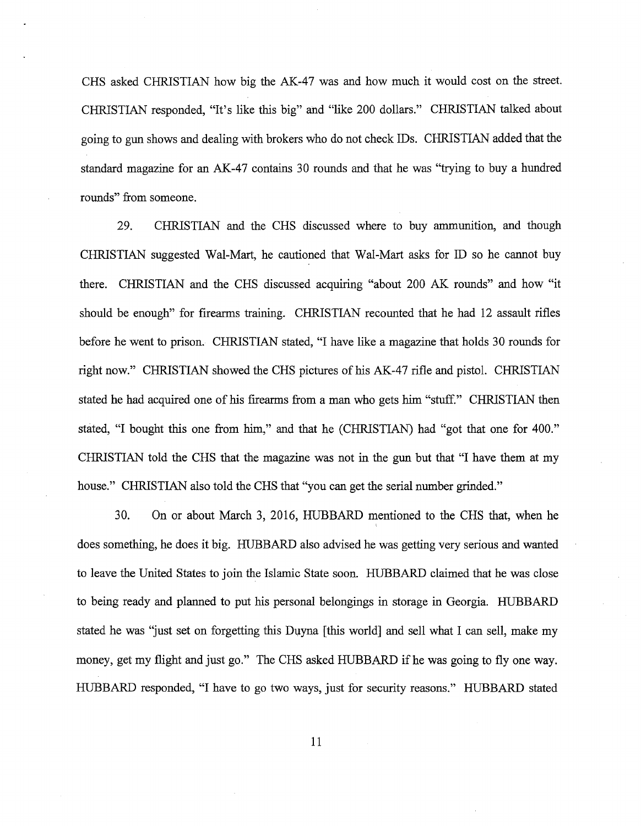CHS asked CHRISTIAN how big the AK-47 was and how much it would cost on the street. CHRISTIAN responded, "It's like this big" and "like 200 dollars." CHRISTIAN talked about going to gun shows and dealing with brokers who do not check IDs. CHRISTIAN added that the standard magazine for an AK-47 contains 30 rounds and that he was "trying to buy a hundred rounds" from someone.

29. CHRISTIAN and the CHS discussed where to buy ammunition, and though CHRISTIAN suggested Wal-Mart, he cautioned that Wal-Mart asks for ID so he cannot buy there. CHRISTIAN and the CHS discussed acquiring "about 200 AK rounds" and how "it should be enough" for firearms training. CHRISTIAN recounted that he had 12 assault rifles before he went to prison. CHRISTIAN stated, "I have like a magazine that holds 30 rounds for right now." CHRISTIAN showed the CHS pictures of his AK-47 rifle and pistol. CHRISTIAN stated he had acquired one of his firearms from a man who gets him "stuff." CHRISTIAN then stated, "I bought this one from him," and that he (CHRISTIAN) had "got that one for 400." CHRISTIAN told the CHS that the magazine was not in the gun but that "I have them at my house." CHRISTIAN also told the CHS that "you can get the serial number grinded."

30. On or about March 3, 2016, HUBBARD mentioned to the CHS that, when he does something, he does it big. HUBBARD also advised he was getting very serious and wanted to leave the United States to join the Islamic State soon. HUBBARD claimed that he was close to being ready and planned to put his personal belongings in storage in Georgia. HUBBARD stated he was 'just set on forgetting this Duyna [this world] and sell what I can sell, make my money, get my flight and just go." The CHS asked HUBBARD if he was going to fly one way. HUBBARD responded, "I have to go two ways, just for security reasons." HUBBARD stated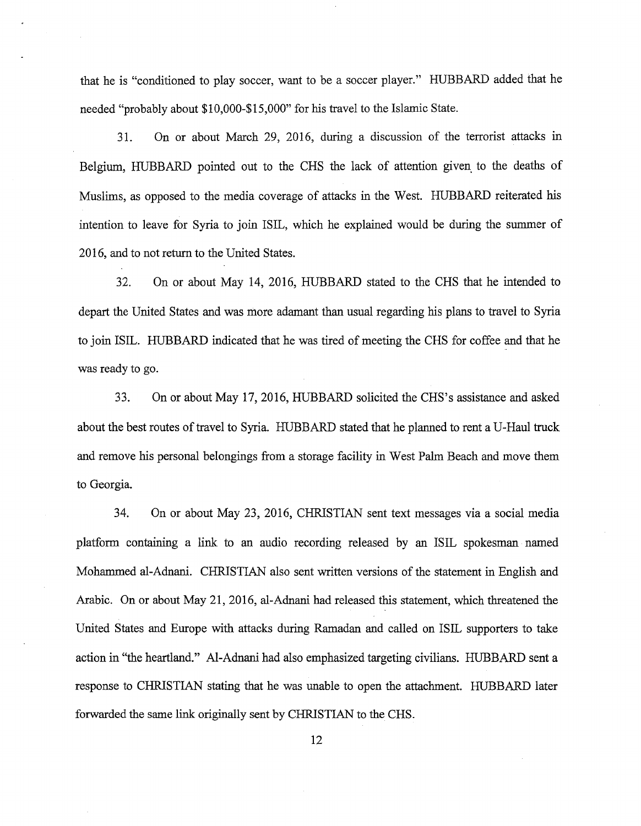that he is "conditioned to play soccer, want to be a soccer player." HUBBARD added that he needed "probably about \$10,000-\$15,000" for his travel to the Islamic State.

31. On or about March 29, 2016, during a discussion of the terrorist attacks in Belgium, HUBBARD pointed out to the CHS the lack of attention given to the deaths of Muslims, as opposed to the media coverage of attacks in the West. HUBBARD reiterated his intention to leave for Syria to join ISIL, which he explained would be during the summer of 2016, and to not return to the United States.

32. On or about May 14, 2016, HUBBARD stated to the CHS that he intended to depart the United States and was more adamant than usual regarding his plans to travel to Syria to join ISIL. HUBBARD indicated that he was tired of meeting the CHS for coffee and that he was ready to go.

33. On or about May 17, 2016, HUBBARD solicited the CHS's assistance and asked about the best routes of travel to Syria. HUBBARD stated that he planned to rent a U-Haul truck and remove his personal belongings from a storage facility in West Palm Beach and move them to Georgia.

34. On or about May 23, 2016, CHRISTIAN sent text messages via a social media platform containing a link to an audio recording released by an ISIL spokesman named Mohammed al-Adnani. CHRISTIAN also sent written versions of the statement in English and Arabic. On or about May 21, 2016, al-Adnani had released this statement, which threatened the United States and Europe with attacks during Ramadan and called on ISIL supporters to take action in "the heartland." Al-Adnani had also emphasized targeting civilians. HUBBARD sent a response to CHRISTIAN stating that he was unable to open the attachment. HUBBARD later forwarded the same link originally sent by CHRISTIAN to the CHS.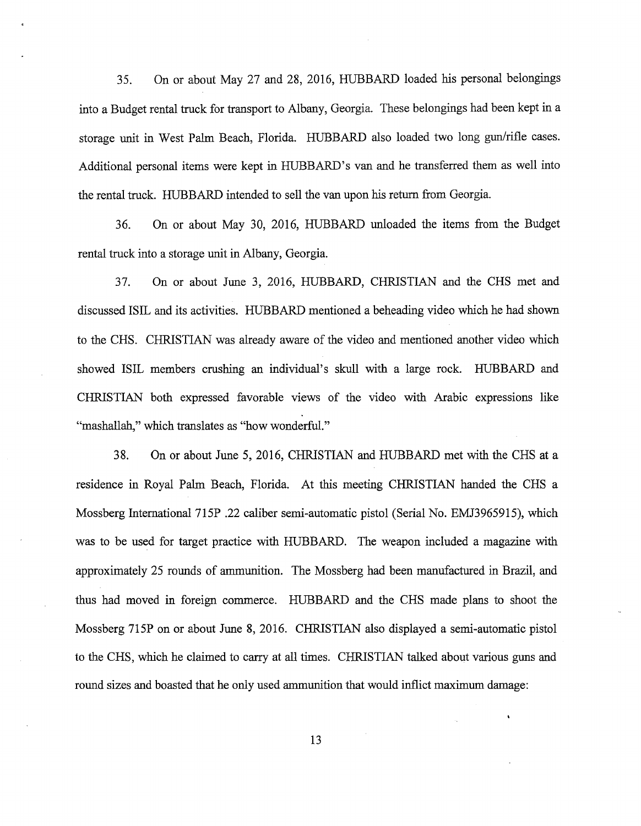35. On or about May 27 and 28, 2016, HUBBARD loaded his personal belongings into a Budget rental truck for transport to Albany, Georgia. These belongings had been kept in a storage unit in West Palm Beach, Florida. HUBBARD also loaded two long gun/rifle cases. Additional personal items were kept in HUBBARD's van and he transferred them as well into the rental truck. HUBBARD intended to sell the van upon his return from Georgia.

36. On or about May 30, 2016, HUBBARD unloaded the items from the Budget rental truck into a storage unit in Albany, Georgia.

37. On or about June 3, 2016, HUBBARD, CHRISTIAN and the CHS met and discussed ISIL and its activities. HUBBARD mentioned a beheading video which he had shown to the CHS. CHRISTIAN was already aware of the video and mentioned another video which showed ISIL members crushing an individual's skull with a large rock. HUBBARD and CHRISTIAN both expressed favorable views of the video with Arabic expressions like "mashallah," which translates as "how wonderful."

38. On or about June 5, 2016, CHRISTIAN and HUBBARD met with the CHS at a residence in Royal Palm Beach, Florida. At this meeting CHRISTIAN handed the CHS a Mossberg International 715P .22 caliber semi-automatic pistol (Serial No. EMJ3965915), which was to be used for target practice with HUBBARD. The weapon included a magazine with approximately 25 rounds of ammunition. The Mossberg had been manufactured in Brazil, and thus had moved in foreign commerce. HUBBARD and the CHS made plans to shoot the Mossberg 715P on or about June 8, 2016. CHRISTIAN also displayed a semi-automatic pistol to the CHS, which he claimed to carry at all times. CHRISTIAN talked about various guns and round sizes and boasted that he only used ammunition that would inflict maximum damage: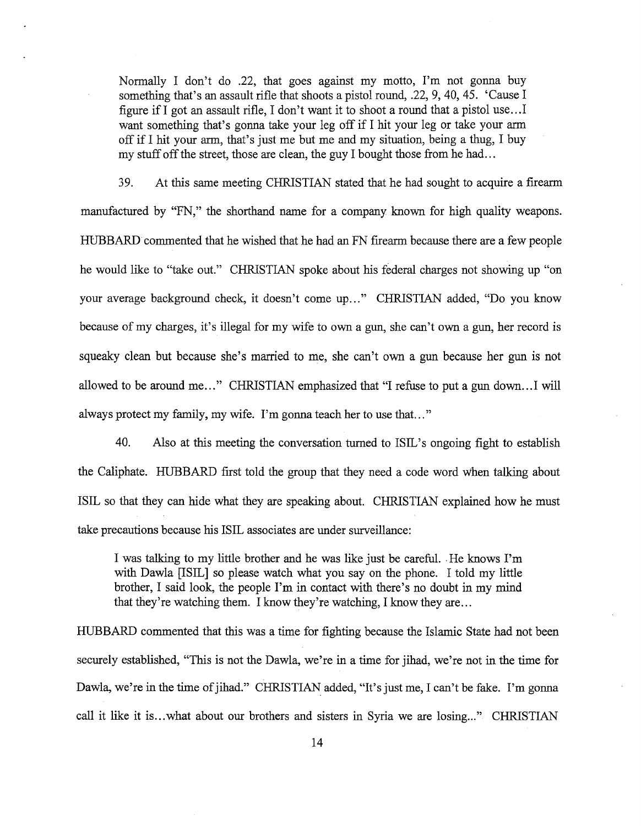Normally I don't do .22, that goes against my motto, I'm not gonna buy something that's an assault rifle that shoots a pistol round, .22, 9, 40, 45. 'Cause I figure if I got an assault rifle, I don't want it to shoot a round that a pistol use .. .I want something that's gonna take your leg off if I hit your leg or take your arm off if I hit your arm, that's just me but me and my situation, being a thug, I buy my stuff off the street, those are clean, the guy I bought those from he had...

39. At this same meeting CHRISTIAN stated that he had sought to acquire a firearm manufactured by "FN," the shorthand name for a company known for high quality weapons. HUBBARD commented that he wished that he had an FN firearm because there are a few people he would like to "take out." CHRISTIAN spoke about his federal charges not showing up "on your average background check, it doesn't come up..." CHRISTIAN added, "Do you know because of my charges, it's illegal for my wife to own a gun, she can't own a gun, her record is squeaky clean but because she's married to me, she can't own a gun because her gun is not allowed to be around me..." CHRISTIAN emphasized that "I refuse to put a gun down...I will always protect my family, my wife. I'm gonna teach her to use that..."

40. Also at this meeting the conversation turned to ISIL's ongoing fight to establish the Caliphate. HUBBARD first told the group that they need a code word when talking about ISIL so that they can hide what they are speaking about. CHRISTIAN explained how he must take precautions because his ISIL associates are under surveillance:

I was talking to my little brother and he was like just be careful .. He knows I'm with Dawla [ISIL] so please watch what you say on the phone. I told my little brother, I said look, the people I'm in contact with there's no doubt in my mind that they're watching them. I know they're watching, I know they are ...

HUBBARD commented that this was a time for fighting because the Islamic State had not been securely established, "This is not the Dawla, we're in a time for jihad, we're not in the time for Dawla, we're in the time of jihad." CHRISTIAN added, "It's just me, I can't be fake. I'm gonna call it like it is...what about our brothers and sisters in Syria we are losing..." CHRISTIAN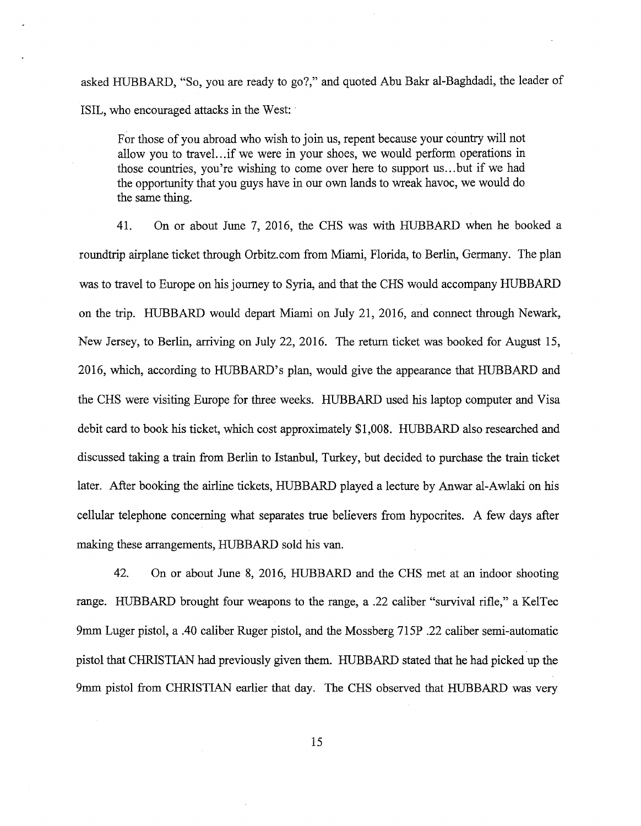asked HUBBARD, "So, you are ready to go?," and quoted Abu Bakr al-Baghdadi, the leader of ISIL, who encouraged attacks in the West:

For those of you abroad who wish to join us, repent because your country will not allow you to travel...if we were in your shoes, we would perform operations in those countries, you're wishing to come over here to support us ... but if we had the opportunity that you guys have in our own lands to wreak havoc, we would do the same thing.

41. On or about June 7, 2016, the CHS was with HUBBARD when he booked a roundtrip airplane ticket through Orbitz.com from Miami, Florida, to Berlin, Germany. The plan was to travel to Europe on his journey to Syria, and that the CHS would accompany HUBBARD on the trip. HUBBARD would depart Miami on July 21, 2016, and connect through Newark, New Jersey, to Berlin, arriving on July 22, 2016. The return ticket was booked for August 15, 2016, which, according to HUBBARD's plan, would give the appearance that HUBBARD and the CHS were visiting Europe for three weeks. HUBBARD used his laptop computer and Visa debit card to book his ticket, which cost approximately \$1,008. HUBBARD also researched and discussed taking a train from Berlin to Istanbul, Turkey, but decided to purchase the train ticket later. After booking the airline tickets, HUBBARD played a lecture by Anwar al-Awlaki on his cellular telephone concerning what separates true believers from hypocrites. A few days after making these arrangements, HUBBARD sold his van.

42. On or about June 8, 2016, HUBBARD and the CHS met at an indoor shooting range. HUBBARD brought four weapons to the range, a .22 caliber "survival rifle," a KelTec 9mm Luger pistol, a .40 caliber Ruger pistol, and the Mossberg 715P .22 caliber semi-automatic pistol that CHRISTIAN had previously given them. HUBBARD stated that he had picked up the 9mm pistol from CHRISTIAN earlier that day. The CHS observed that HUBBARD was very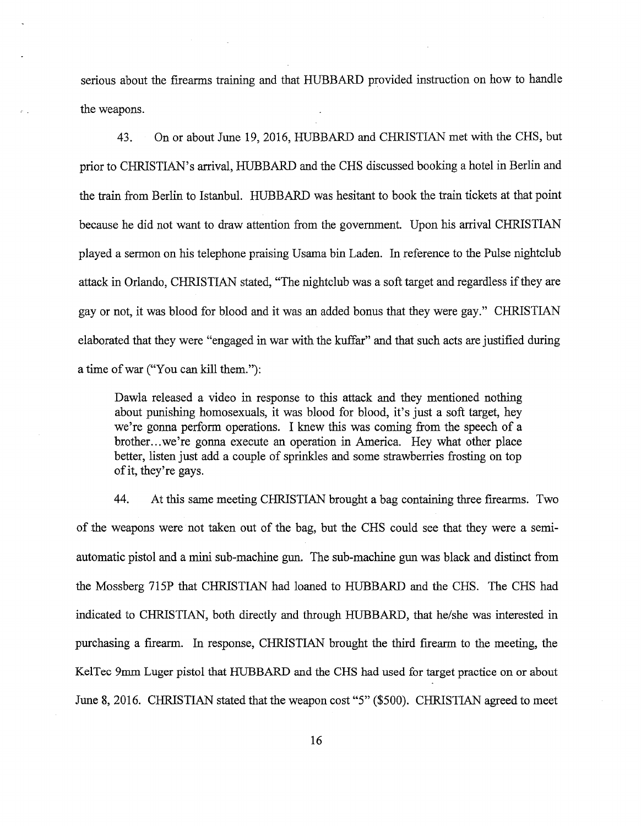serious about the firearms training and that HUBBARD provided instruction on how to handle the weapons.

43. On or about June 19, 2016, HUBBARD and CHRISTIAN met with the CHS, but prior to CHRISTIAN's arrival, HUBBARD and the CHS discussed booking a hotel in Berlin and the train from Berlin to Istanbul. HUBBARD was hesitant to book the train tickets at that point because he did not want to draw attention from the government. Upon his arrival CHRISTIAN played a sermon on his telephone praising Usama bin Laden. In reference to the Pulse nightclub attack in Orlando, CHRISTIAN stated, "The nightclub was a soft target and regardless ifthey are gay or not, it was blood for blood and it was an added bonus that they were gay." CHRISTIAN elaborated that they were "engaged in war with the kuffar" and that such acts are justified during a time ofwar ("You can kill them."):

Dawla released a video in response to this attack and they mentioned nothing about punishing homosexuals, it was blood for blood, it's just a soft target, hey we're gonna perform operations. I knew this was coming from the speech of a brother. .. we're gonna execute an operation in America. Hey what other place better, listen just add a couple of sprinkles and some strawberries frosting on top ofit, they're gays.

44. At this same meeting CHRISTIAN brought a bag containing three firearms. Two of the weapons were not taken out of the bag, but the CHS could see that they were a semiautomatic pistol and a mini sub-machine gun. The sub-machine gun was black and distinct from the Mossberg 715P that CHRISTIAN had loaned to HUBBARD and the CHS. The CHS had indicated to CHRISTIAN, both directly and through HUBBARD, that he/she was interested in purchasing a firearm. In response, CHRISTIAN brought the third firearm to the meeting, the KelTec 9mm Luger pistol that HUBBARD and the CHS had used for target practice on or about June 8, 2016. CHRISTIAN stated that the weapon cost "5" (\$500). CHRISTIAN agreed to meet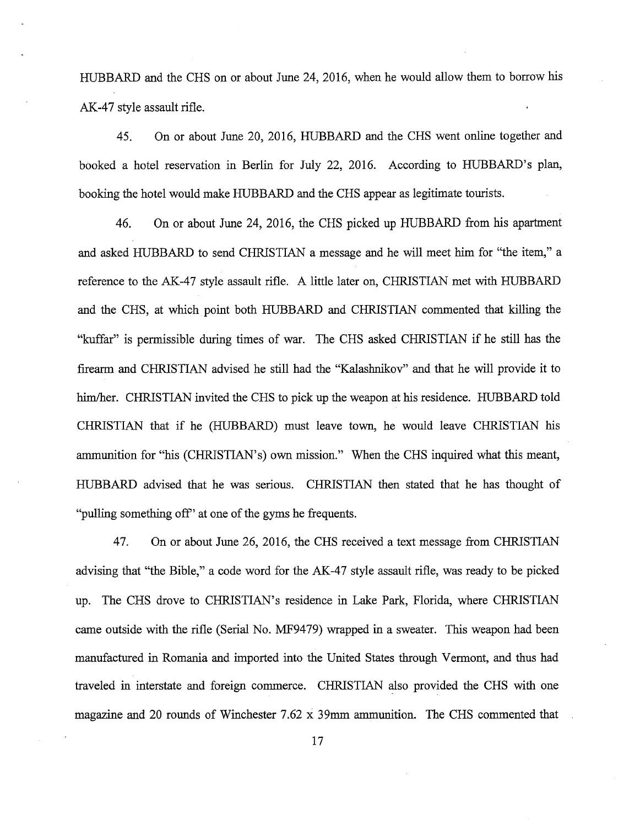HUBBARD and the CHS on or about June 24, 2016, when he would allow them to borrow his AK-47 style assault rifle.

45. On or about June 20, 2016, HUBBARD and the CHS went online together and booked a hotel reservation in Berlin for July 22, 2016. According to HUBBARD's plan, booking the hotel would make HUBBARD and the CHS appear as legitimate tourists.

46. On or about June 24, 2016, the CHS picked up HUBBARD from his apartment and asked HUBBARD to send CHRISTIAN a message and he will meet him for "the item," a reference to the AK-47 style assault rifle. A little later on, CHRISTIAN met with HUBBARD and the CHS, at which point both HUBBARD and CHRISTIAN commented that killing the "kuffar" is permissible during times of war. The CHS asked CHRISTIAN if he still has the firearm and CHRISTIAN advised he still had the "Kalashnikov" and that he will provide it to him/her. CHRISTIAN invited the CHS to pick up the weapon at his residence. HUBBARD told CHRISTIAN that if he (HUBBARD) must leave town, he would leave CHRISTIAN his ammunition for "his (CHRISTIAN's) own mission." When the CHS inquired what this meant, HUBBARD advised that he was serious. CHRISTIAN then stated that he has thought of "pulling something off' at one of the gyms he frequents.

47. On or about June 26, 2016, the CHS received a text message from CHRISTIAN advising that "the Bible," a code word for the AK-47 style assault rifle, was ready to be picked up. The CHS drove to CHRISTIAN's residence in Lake Park, Florida, where CHRISTIAN came outside with the rifle (Serial No. MF9479) wrapped in a sweater. This weapon had been manufactured in Romania and imported into the United States through Vermont, and thus had traveled in interstate and foreign commerce. CHRISTIAN also provided the CHS with one magazine and 20 rounds of Winchester 7.62 x 39mm ammunition. The CHS commented that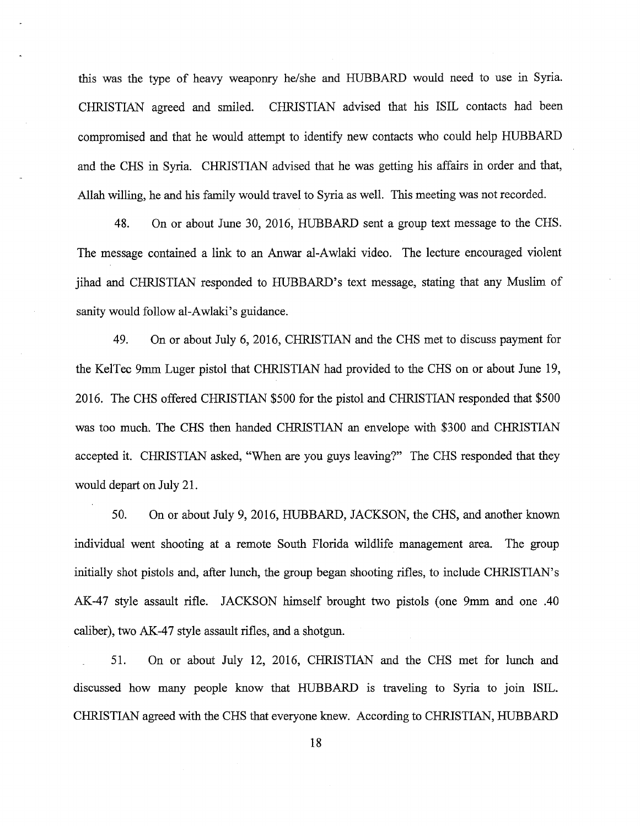this was the type of heavy weaponry he/she and HUBBARD would need to use in Syria. CHRISTIAN agreed and smiled. CHRISTIAN advised that his ISIL contacts had been compromised and that he would attempt to identify new contacts who could help HUBBARD and the CHS in Syria. CHRISTIAN advised that he was getting his affairs in order and that, Allah willing, he and his family would travel to Syria as well. This meeting was not recorded.

48. On or about June 30, 2016, HUBBARD sent a group text message to the CHS. The message contained a link to an Anwar al-Awlaki video. The lecture encouraged violent jihad and CHRISTIAN responded to HUBBARD's text message, stating that any Muslim of sanity would follow al-Awlaki's guidance.

49. On or about July 6, 2016, CHRISTIAN and the CHS met to discuss payment for the KelTec 9mm Luger pistol that CHRISTIAN had provided to the CHS on or about June 19, 2016. The CHS offered CHRISTIAN \$500 for the pistol and CHRISTIAN responded that \$500 was too much. The CHS then handed CHRISTIAN an envelope with \$300 and CHRISTIAN accepted it. CHRISTIAN asked, "When are you guys leaving?" The CHS responded that they would depart on July 21.

50. On or about July 9, 2016, HUBBARD, JACKSON, the CHS, and another known individual went shooting at a remote South Florida wildlife management area. The group initially shot pistols and, after lunch, the group began shooting rifles, to include CHRISTIAN's AK-47 style assault rifle. JACKSON himself brought two pistols (one 9mm and one .40 caliber), two AK-47 style assault rifles, and a shotgun.

51. On or about July 12, 2016, CHRISTIAN and the CHS met for lunch and discussed how many people know that HUBBARD is traveling to Syria to join ISIL. CHRISTIAN agreed with the CHS that everyone knew. According to CHRISTIAN, HUBBARD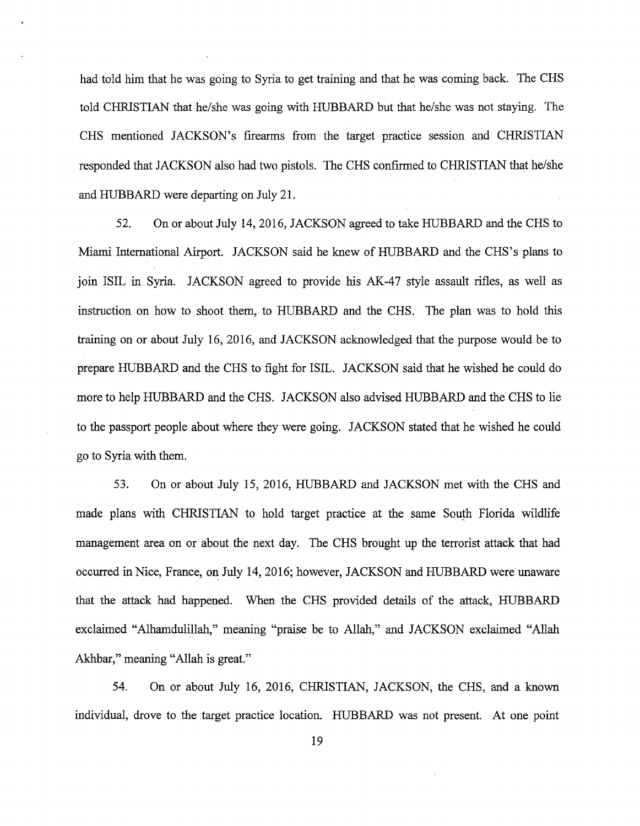had told him that he was going to Syria to get training and that he was coming back. The CHS told CHRISTIAN that he/she was going with HUBBARD but that he/she was not staying. The CHS mentioned JACKSON's fireanns from the target practice session and CHRISTIAN responded that JACKSON also had two pistols. The CHS confirmed to CHRISTIAN that he/she and HUBBARD were departing on July 21.

52. On or about July 14, 2016, JACKSON agreed to take HUBBARD and the CHS to Miami International Airport. JACKSON said he knew of HUBBARD and the CHS's plans to join ISIL in Syria. JACKSON agreed to provide his AK-47 style assault rifles, as well as instruction on how to shoot them, to HUBBARD and the CHS. The plan was to hold this training on or about July 16, 2016, and JACKSON acknowledged that the purpose would be to prepare HUBBARD and the CHS to fight for ISIL. JACKSON said that he wished he could do more to help HUBBARD and the CHS. JACKSON also advised HUBBARD and the CHS to lie to the passport people about where they were going. JACKSON stated that he wished he could go to Syria with them.

53. On or about July 15, 2016, HUBBARD and JACKSON met with the CHS and made plans with CHRISTIAN to hold target practice at the same South Florida wildlife management area on or about the next day. The CHS brought up the terrorist attack that had occurred in Nice, France, on July 14, 2016; however, JACKSON and HUBBARD were unaware that the attack had happened. When the CHS provided details of the attack, HUBBARD exclaimed "Alhamdulillah," meaning "praise be to Allah," and JACKSON exclaimed "Allah Akhbar," meaning "Allah is great."

54. On or about July 16, 2016, CHRISTIAN, JACKSON, the CHS, and a known individual, drove to the target practice location. HUBBARD was not present. At one point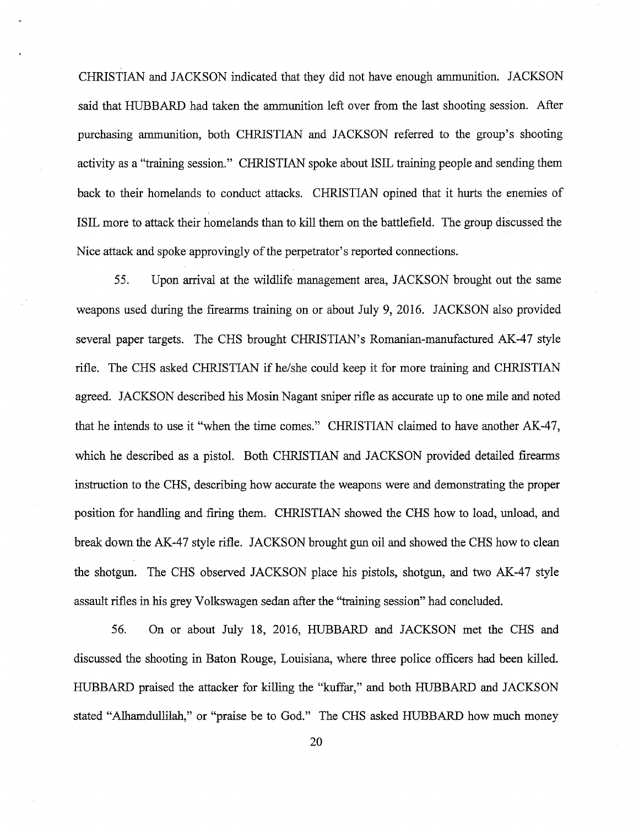CHRISTIAN and JACKSON indicated that they did not have enough ammunition. JACKSON said that HUBBARD had taken the ammunition left over from the last shooting session. After purchasing ammunition, both CHRISTIAN and JACKSON referred to the group's shooting activity as a "training session." CHRISTIAN spoke about ISIL training people and sending them back to their homelands to conduct attacks. CHRISTIAN opined that it hurts the enemies of ISIL more to attack their homelands than to kill them on the battlefield. The group discussed the Nice attack and spoke approvingly of the perpetrator's reported connections.

55. Upon arrival at the wildlife management area, JACKSON brought out the same weapons used during the firearms training on or about July 9, 2016. JACKSON also provided several paper targets. The CHS brought CHRISTIAN's Romanian-manufactured AK-47 style rifle. The CHS asked CHRISTIAN if he/she could keep it for more training and CHRISTIAN agreed. JACKSON described his Mosin Nagant sniper rifle as accurate up to one mile and noted that he intends to use it "when the time comes." CHRISTIAN claimed to have another AK-47, which he described as a pistol. Both CHRISTIAN and JACKSON provided detailed firearms instruction to the CHS, describing how accurate the weapons were and demonstrating the proper position for handling and firing them. CHRISTIAN showed the CHS how to load, unload, and break down the AK-47 style rifle. JACKSON brought gun oil and showed the CHS how to clean the shotgun. The CHS observed JACKSON place his pistols, shotgun, and two AK-47 style assault rifles in his grey Volkswagen sedan after the "training session" had concluded.

56. On or about July 18, 2016, HUBBARD and JACKSON met the CHS and discussed the shooting in Baton Rouge, Louisiana, where three police officers had been killed. HUBBARD praised the attacker for killing the "kuffar," and both HUBBARD and JACKSON stated "Alhamdullilah," or "praise be to God." The CHS asked HUBBARD how much money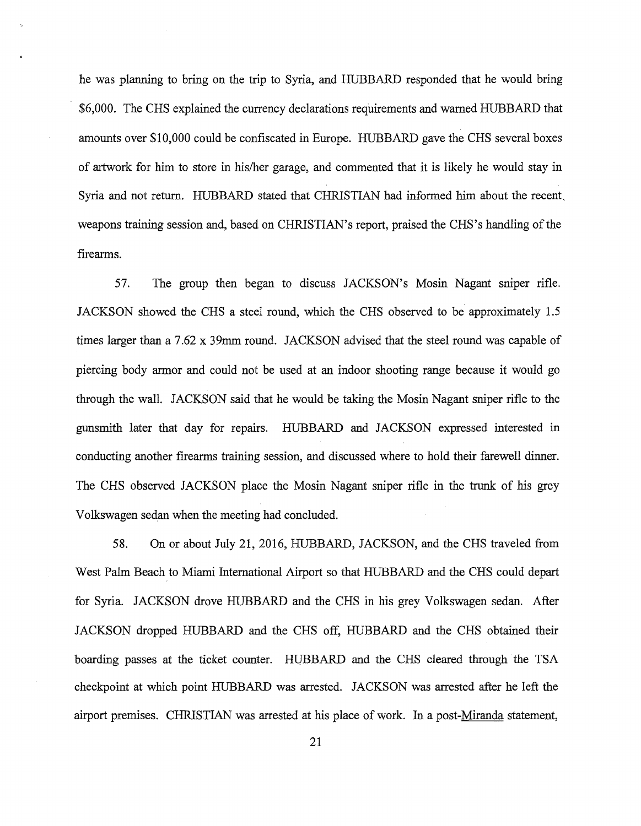he was planning to bring on the trip to Syria, and HUBBARD responded that he would bring \$6,000. The CHS explained the currency declarations requirements and warned HUBBARD that amounts over \$10,000 could be confiscated in Europe. HUBBARD gave the CHS several boxes of artwork for him to store in his/her garage, and commented that it is likely he would stay in Syria and not return. HUBBARD stated that CHRISTIAN had informed him about the recent. weapons training session and, based on CHRISTIAN's report, praised the CHS's handling of the firearms.

57. The group then began to discuss JACKSON's Mosin Nagant smper rifle. JACKSON showed the CHS a steel round, which the CHS observed to be approximately 1.5 times larger than a 7.62 x 39mm round. JACKSON advised that the steel round was capable of piercing body armor and could not be used at an indoor shooting range because it would go through the wall. JACKSON said that he would be taking the Mosin Nagant sniper rifle to the gunsmith later that day for repairs. HUBBARD and JACKSON expressed interested in conducting another firearms training session, and discussed where to hold their farewell dinner. The CHS observed JACKSON place the Mosin Nagant sniper rifle in the trunk of his grey Volkswagen sedan when the meeting had concluded.

58. On or about July 21, 2016, HUBBARD, JACKSON, and the CHS traveled from West Palm Beach to Miami International Airport so that HUBBARD and the CHS could depart for Syria. JACKSON drove HUBBARD and the CHS in his grey Volkswagen sedan. After JACKSON dropped HUBBARD and the CHS off, HUBBARD and the CHS obtained their boarding passes at the ticket counter. HUBBARD and the CHS cleared through the TSA checkpoint at which point HUBBARD was arrested. JACKSON was arrested after he left the airport premises. CHR1STIAN was arrested at his place of work. In a post-Miranda statement,